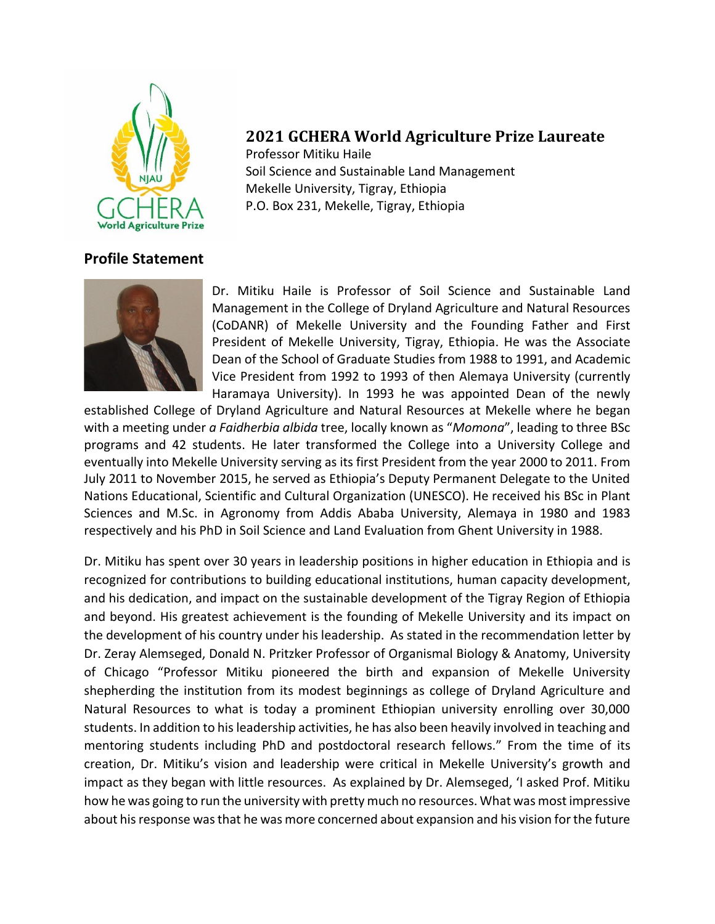

## **2021 GCHERA World Agriculture Prize Laureate**

Professor Mitiku Haile Soil Science and Sustainable Land Management Mekelle University, Tigray, Ethiopia P.O. Box 231, Mekelle, Tigray, Ethiopia

## **Profile Statement**



Dr. Mitiku Haile is Professor of Soil Science and Sustainable Land Management in the College of Dryland Agriculture and Natural Resources (CoDANR) of Mekelle University and the Founding Father and First President of Mekelle University, Tigray, Ethiopia. He was the Associate Dean of the School of Graduate Studies from 1988 to 1991, and Academic Vice President from 1992 to 1993 of then Alemaya University (currently Haramaya University). In 1993 he was appointed Dean of the newly

established College of Dryland Agriculture and Natural Resources at Mekelle where he began with a meeting under *a Faidherbia albida* tree, locally known as "*Momona*", leading to three BSc programs and 42 students. He later transformed the College into a University College and eventually into Mekelle University serving as its first President from the year 2000 to 2011. From July 2011 to November 2015, he served as Ethiopia's Deputy Permanent Delegate to the United Nations Educational, Scientific and Cultural Organization (UNESCO). He received his BSc in Plant Sciences and M.Sc. in Agronomy from Addis Ababa University, Alemaya in 1980 and 1983 respectively and his PhD in Soil Science and Land Evaluation from Ghent University in 1988.

Dr. Mitiku has spent over 30 years in leadership positions in higher education in Ethiopia and is recognized for contributions to building educational institutions, human capacity development, and his dedication, and impact on the sustainable development of the Tigray Region of Ethiopia and beyond. His greatest achievement is the founding of Mekelle University and its impact on the development of his country under his leadership. As stated in the recommendation letter by Dr. Zeray Alemseged, Donald N. Pritzker Professor of Organismal Biology & Anatomy, University of Chicago "Professor Mitiku pioneered the birth and expansion of Mekelle University shepherding the institution from its modest beginnings as college of Dryland Agriculture and Natural Resources to what is today a prominent Ethiopian university enrolling over 30,000 students. In addition to his leadership activities, he has also been heavily involved in teaching and mentoring students including PhD and postdoctoral research fellows." From the time of its creation, Dr. Mitiku's vision and leadership were critical in Mekelle University's growth and impact as they began with little resources. As explained by Dr. Alemseged, 'I asked Prof. Mitiku how he was going to run the university with pretty much no resources. What was most impressive about his response was that he was more concerned about expansion and his vision for the future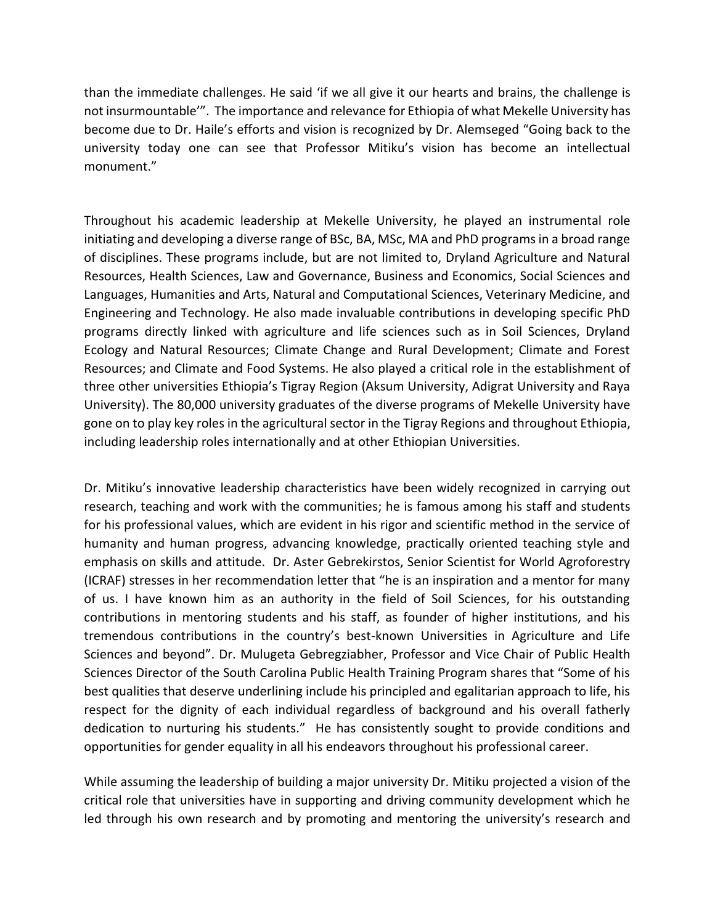than the immediate challenges. He said 'if we all give it our hearts and brains, the challenge is not insurmountable'". The importance and relevance for Ethiopia of what Mekelle University has become due to Dr. Haile's efforts and vision is recognized by Dr. Alemseged "Going back to the university today one can see that Professor Mitiku's vision has become an intellectual monument."

Throughout his academic leadership at Mekelle University, he played an instrumental role initiating and developing a diverse range of BSc, BA, MSc, MA and PhD programs in a broad range of disciplines. These programs include, but are not limited to, Dryland Agriculture and Natural Resources, Health Sciences, Law and Governance, Business and Economics, Social Sciences and Languages, Humanities and Arts, Natural and Computational Sciences, Veterinary Medicine, and Engineering and Technology. He also made invaluable contributions in developing specific PhD programs directly linked with agriculture and life sciences such as in Soil Sciences, Dryland Ecology and Natural Resources; Climate Change and Rural Development; Climate and Forest Resources; and Climate and Food Systems. He also played a critical role in the establishment of three other universities Ethiopia's Tigray Region (Aksum University, Adigrat University and Raya University). The 80,000 university graduates of the diverse programs of Mekelle University have gone on to play key roles in the agricultural sector in the Tigray Regions and throughout Ethiopia, including leadership roles internationally and at other Ethiopian Universities.

Dr. Mitiku's innovative leadership characteristics have been widely recognized in carrying out research, teaching and work with the communities; he is famous among his staff and students for his professional values, which are evident in his rigor and scientific method in the service of humanity and human progress, advancing knowledge, practically oriented teaching style and emphasis on skills and attitude. Dr. Aster Gebrekirstos, Senior Scientist for World Agroforestry (ICRAF) stresses in her recommendation letter that "he is an inspiration and a mentor for many of us. I have known him as an authority in the field of Soil Sciences, for his outstanding contributions in mentoring students and his staff, as founder of higher institutions, and his tremendous contributions in the country's best-known Universities in Agriculture and Life Sciences and beyond". Dr. Mulugeta Gebregziabher, Professor and Vice Chair of Public Health Sciences Director of the South Carolina Public Health Training Program shares that "Some of his best qualities that deserve underlining include his principled and egalitarian approach to life, his respect for the dignity of each individual regardless of background and his overall fatherly dedication to nurturing his students." He has consistently sought to provide conditions and opportunities for gender equality in all his endeavors throughout his professional career.

While assuming the leadership of building a major university Dr. Mitiku projected a vision of the critical role that universities have in supporting and driving community development which he led through his own research and by promoting and mentoring the university's research and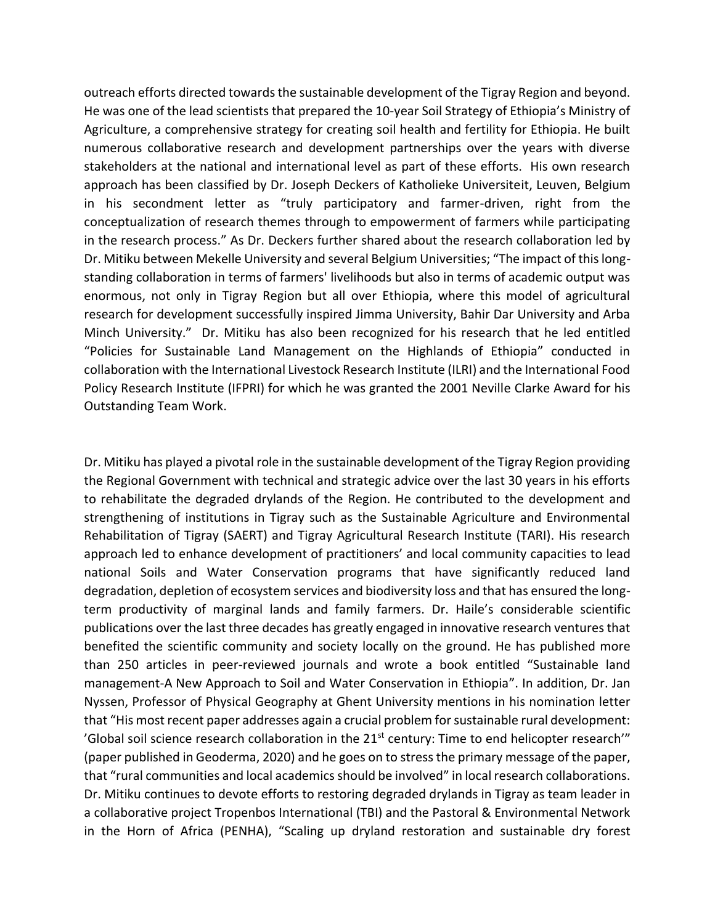outreach efforts directed towards the sustainable development of the Tigray Region and beyond. He was one of the lead scientists that prepared the 10-year Soil Strategy of Ethiopia's Ministry of Agriculture, a comprehensive strategy for creating soil health and fertility for Ethiopia. He built numerous collaborative research and development partnerships over the years with diverse stakeholders at the national and international level as part of these efforts. His own research approach has been classified by Dr. Joseph Deckers of Katholieke Universiteit, Leuven, Belgium in his secondment letter as "truly participatory and farmer-driven, right from the conceptualization of research themes through to empowerment of farmers while participating in the research process." As Dr. Deckers further shared about the research collaboration led by Dr. Mitiku between Mekelle University and several Belgium Universities; "The impact of this longstanding collaboration in terms of farmers' livelihoods but also in terms of academic output was enormous, not only in Tigray Region but all over Ethiopia, where this model of agricultural research for development successfully inspired Jimma University, Bahir Dar University and Arba Minch University." Dr. Mitiku has also been recognized for his research that he led entitled "Policies for Sustainable Land Management on the Highlands of Ethiopia" conducted in collaboration with the International Livestock Research Institute (ILRI) and the International Food Policy Research Institute (IFPRI) for which he was granted the 2001 Neville Clarke Award for his Outstanding Team Work.

Dr. Mitiku has played a pivotal role in the sustainable development of the Tigray Region providing the Regional Government with technical and strategic advice over the last 30 years in his efforts to rehabilitate the degraded drylands of the Region. He contributed to the development and strengthening of institutions in Tigray such as the Sustainable Agriculture and Environmental Rehabilitation of Tigray (SAERT) and Tigray Agricultural Research Institute (TARI). His research approach led to enhance development of practitioners' and local community capacities to lead national Soils and Water Conservation programs that have significantly reduced land degradation, depletion of ecosystem services and biodiversity loss and that has ensured the longterm productivity of marginal lands and family farmers. Dr. Haile's considerable scientific publications over the last three decades has greatly engaged in innovative research ventures that benefited the scientific community and society locally on the ground. He has published more than 250 articles in peer-reviewed journals and wrote a book entitled "Sustainable land management-A New Approach to Soil and Water Conservation in Ethiopia". In addition, Dr. Jan Nyssen, Professor of Physical Geography at Ghent University mentions in his nomination letter that "His most recent paper addresses again a crucial problem for sustainable rural development: 'Global soil science research collaboration in the 21st century: Time to end helicopter research'" (paper published in Geoderma, 2020) and he goes on to stress the primary message of the paper, that "rural communities and local academics should be involved" in local research collaborations. Dr. Mitiku continues to devote efforts to restoring degraded drylands in Tigray as team leader in a collaborative project Tropenbos International (TBI) and the Pastoral & Environmental Network in the Horn of Africa (PENHA), "Scaling up dryland restoration and sustainable dry forest